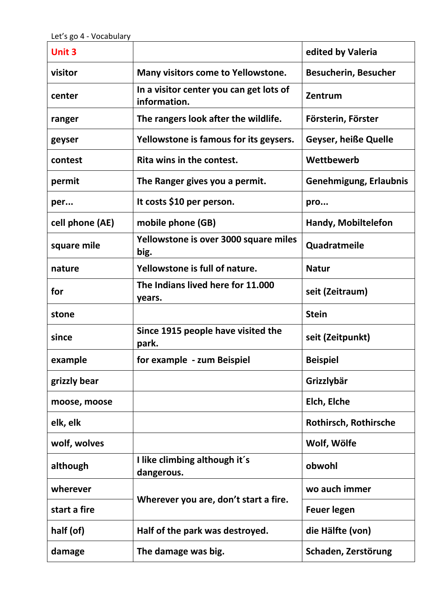| <b>Unit 3</b>   |                                                         | edited by Valeria           |
|-----------------|---------------------------------------------------------|-----------------------------|
| visitor         | Many visitors come to Yellowstone.                      | <b>Besucherin, Besucher</b> |
| center          | In a visitor center you can get lots of<br>information. | Zentrum                     |
| ranger          | The rangers look after the wildlife.                    | Försterin, Förster          |
| geyser          | Yellowstone is famous for its geysers.                  | <b>Geyser, heiße Quelle</b> |
| contest         | Rita wins in the contest.                               | Wettbewerb                  |
| permit          | The Ranger gives you a permit.                          | Genehmigung, Erlaubnis      |
| per             | It costs \$10 per person.                               | pro                         |
| cell phone (AE) | mobile phone (GB)                                       | Handy, Mobiltelefon         |
| square mile     | Yellowstone is over 3000 square miles<br>big.           | Quadratmeile                |
| nature          | Yellowstone is full of nature.                          | <b>Natur</b>                |
| for             | The Indians lived here for 11.000<br>years.             | seit (Zeitraum)             |
| stone           |                                                         | <b>Stein</b>                |
| since           | Since 1915 people have visited the<br>park.             | seit (Zeitpunkt)            |
| example         | for example - zum Beispiel                              | <b>Beispiel</b>             |
| grizzly bear    |                                                         | Grizzlybär                  |
| moose, moose    |                                                         | Elch, Elche                 |
| elk, elk        |                                                         | Rothirsch, Rothirsche       |
| wolf, wolves    |                                                         | Wolf, Wölfe                 |
| although        | I like climbing although it's<br>dangerous.             | obwohl                      |
| wherever        | Wherever you are, don't start a fire.                   | wo auch immer               |
| start a fire    |                                                         | <b>Feuer legen</b>          |
| half (of)       | Half of the park was destroyed.                         | die Hälfte (von)            |
| damage          | The damage was big.                                     | Schaden, Zerstörung         |